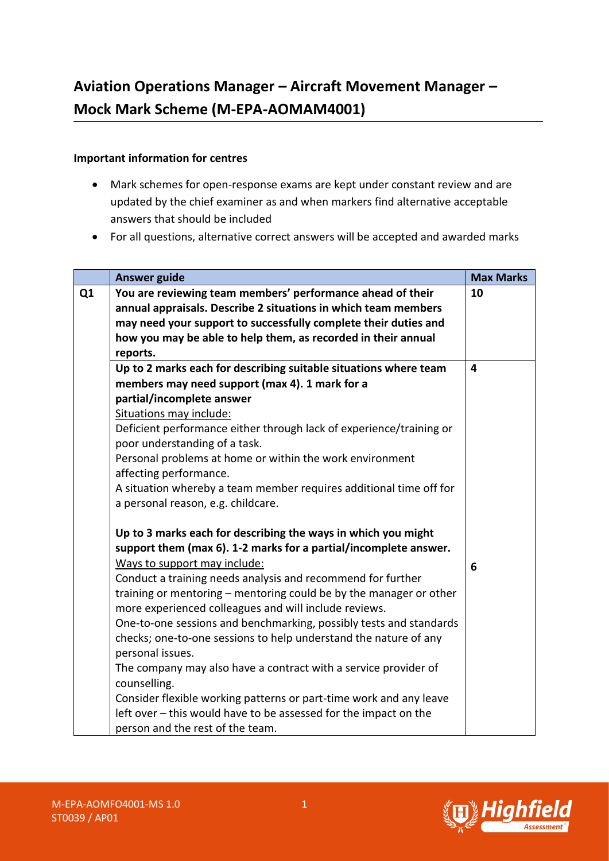## **Important information for centres**

- Mark schemes for open-response exams are kept under constant review and are updated by the chief examiner as and when markers find alternative acceptable answers that should be included
- For all questions, alternative correct answers will be accepted and awarded marks

|                | <b>Answer guide</b>                                                                                                          | <b>Max Marks</b>        |
|----------------|------------------------------------------------------------------------------------------------------------------------------|-------------------------|
| Q <sub>1</sub> | You are reviewing team members' performance ahead of their<br>annual appraisals. Describe 2 situations in which team members | 10                      |
|                | may need your support to successfully complete their duties and                                                              |                         |
|                | how you may be able to help them, as recorded in their annual                                                                |                         |
|                | reports.                                                                                                                     |                         |
|                | Up to 2 marks each for describing suitable situations where team                                                             | $\overline{\mathbf{4}}$ |
|                | members may need support (max 4). 1 mark for a                                                                               |                         |
|                | partial/incomplete answer                                                                                                    |                         |
|                | Situations may include:                                                                                                      |                         |
|                | Deficient performance either through lack of experience/training or                                                          |                         |
|                | poor understanding of a task.                                                                                                |                         |
|                | Personal problems at home or within the work environment                                                                     |                         |
|                | affecting performance.                                                                                                       |                         |
|                | A situation whereby a team member requires additional time off for                                                           |                         |
|                | a personal reason, e.g. childcare.                                                                                           |                         |
|                | Up to 3 marks each for describing the ways in which you might                                                                |                         |
|                | support them (max 6). 1-2 marks for a partial/incomplete answer.                                                             |                         |
|                | Ways to support may include:                                                                                                 | 6                       |
|                | Conduct a training needs analysis and recommend for further                                                                  |                         |
|                | training or mentoring – mentoring could be by the manager or other                                                           |                         |
|                | more experienced colleagues and will include reviews.                                                                        |                         |
|                | One-to-one sessions and benchmarking, possibly tests and standards                                                           |                         |
|                | checks; one-to-one sessions to help understand the nature of any                                                             |                         |
|                | personal issues.                                                                                                             |                         |
|                | The company may also have a contract with a service provider of                                                              |                         |
|                | counselling.                                                                                                                 |                         |
|                | Consider flexible working patterns or part-time work and any leave                                                           |                         |
|                | left over - this would have to be assessed for the impact on the                                                             |                         |
|                | person and the rest of the team.                                                                                             |                         |

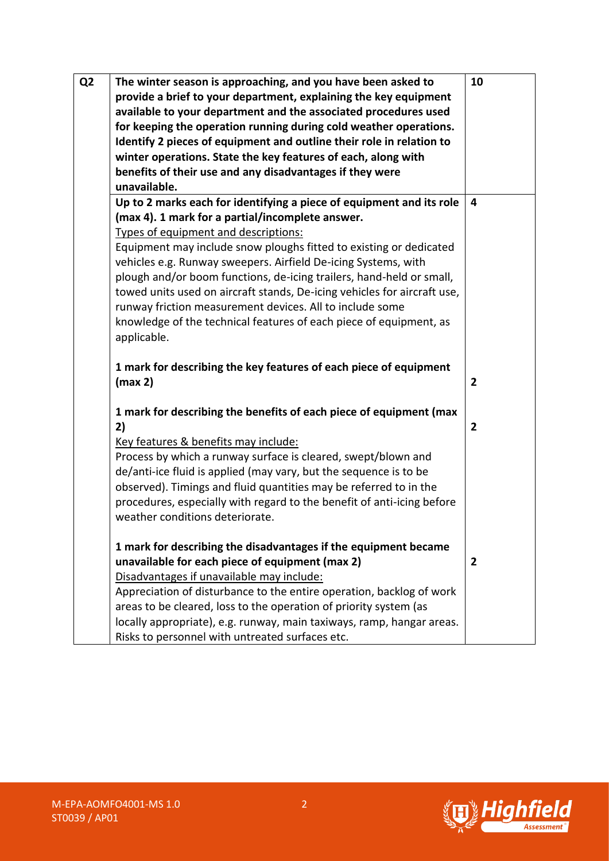| Q <sub>2</sub> | The winter season is approaching, and you have been asked to<br>provide a brief to your department, explaining the key equipment<br>available to your department and the associated procedures used<br>for keeping the operation running during cold weather operations.<br>Identify 2 pieces of equipment and outline their role in relation to<br>winter operations. State the key features of each, along with<br>benefits of their use and any disadvantages if they were<br>unavailable.                                                                                                                 | 10             |
|----------------|---------------------------------------------------------------------------------------------------------------------------------------------------------------------------------------------------------------------------------------------------------------------------------------------------------------------------------------------------------------------------------------------------------------------------------------------------------------------------------------------------------------------------------------------------------------------------------------------------------------|----------------|
|                | Up to 2 marks each for identifying a piece of equipment and its role<br>(max 4). 1 mark for a partial/incomplete answer.<br>Types of equipment and descriptions:<br>Equipment may include snow ploughs fitted to existing or dedicated<br>vehicles e.g. Runway sweepers. Airfield De-icing Systems, with<br>plough and/or boom functions, de-icing trailers, hand-held or small,<br>towed units used on aircraft stands, De-icing vehicles for aircraft use,<br>runway friction measurement devices. All to include some<br>knowledge of the technical features of each piece of equipment, as<br>applicable. | 4              |
|                | 1 mark for describing the key features of each piece of equipment<br>(max 2)                                                                                                                                                                                                                                                                                                                                                                                                                                                                                                                                  | 2              |
|                | 1 mark for describing the benefits of each piece of equipment (max<br>2)<br>Key features & benefits may include:<br>Process by which a runway surface is cleared, swept/blown and<br>de/anti-ice fluid is applied (may vary, but the sequence is to be<br>observed). Timings and fluid quantities may be referred to in the<br>procedures, especially with regard to the benefit of anti-icing before<br>weather conditions deteriorate.                                                                                                                                                                      | $\overline{2}$ |
|                | 1 mark for describing the disadvantages if the equipment became<br>unavailable for each piece of equipment (max 2)<br>Disadvantages if unavailable may include:<br>Appreciation of disturbance to the entire operation, backlog of work<br>areas to be cleared, loss to the operation of priority system (as<br>locally appropriate), e.g. runway, main taxiways, ramp, hangar areas.<br>Risks to personnel with untreated surfaces etc.                                                                                                                                                                      | 2              |

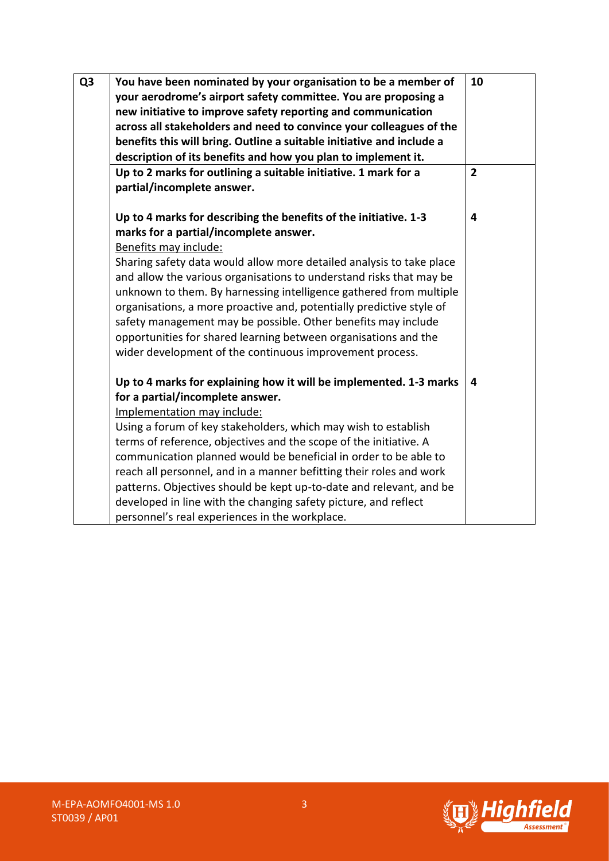| Q <sub>3</sub> | You have been nominated by your organisation to be a member of        | 10             |
|----------------|-----------------------------------------------------------------------|----------------|
|                | your aerodrome's airport safety committee. You are proposing a        |                |
|                | new initiative to improve safety reporting and communication          |                |
|                | across all stakeholders and need to convince your colleagues of the   |                |
|                | benefits this will bring. Outline a suitable initiative and include a |                |
|                | description of its benefits and how you plan to implement it.         |                |
|                | Up to 2 marks for outlining a suitable initiative. 1 mark for a       | $\overline{2}$ |
|                | partial/incomplete answer.                                            |                |
|                |                                                                       |                |
|                | Up to 4 marks for describing the benefits of the initiative. 1-3      | 4              |
|                | marks for a partial/incomplete answer.                                |                |
|                | Benefits may include:                                                 |                |
|                | Sharing safety data would allow more detailed analysis to take place  |                |
|                | and allow the various organisations to understand risks that may be   |                |
|                | unknown to them. By harnessing intelligence gathered from multiple    |                |
|                | organisations, a more proactive and, potentially predictive style of  |                |
|                | safety management may be possible. Other benefits may include         |                |
|                | opportunities for shared learning between organisations and the       |                |
|                | wider development of the continuous improvement process.              |                |
|                | Up to 4 marks for explaining how it will be implemented. 1-3 marks    | 4              |
|                | for a partial/incomplete answer.                                      |                |
|                | Implementation may include:                                           |                |
|                | Using a forum of key stakeholders, which may wish to establish        |                |
|                | terms of reference, objectives and the scope of the initiative. A     |                |
|                | communication planned would be beneficial in order to be able to      |                |
|                | reach all personnel, and in a manner befitting their roles and work   |                |
|                | patterns. Objectives should be kept up-to-date and relevant, and be   |                |
|                | developed in line with the changing safety picture, and reflect       |                |
|                | personnel's real experiences in the workplace.                        |                |

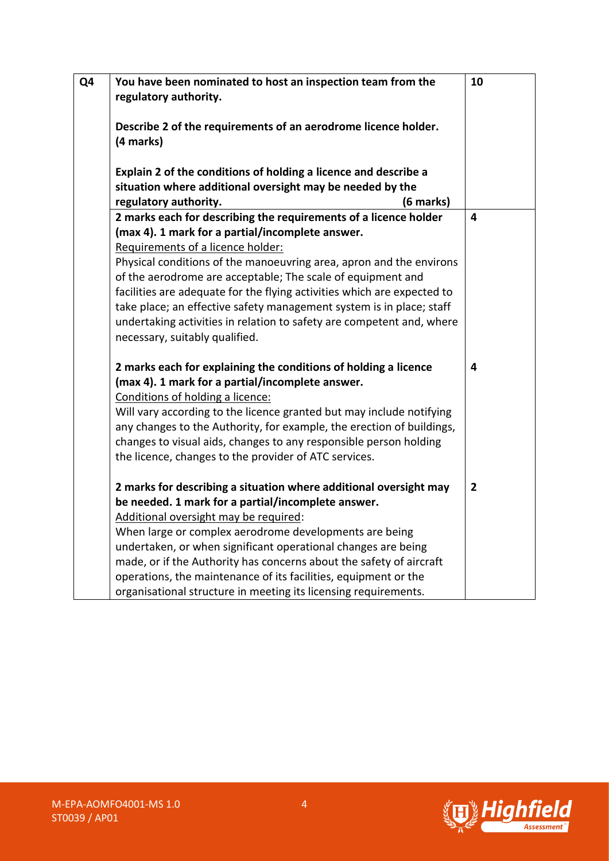| Q4 | You have been nominated to host an inspection team from the<br>regulatory authority.                                                                                                                                                                                                                                                                                                                                                                                                                                                                          | 10             |
|----|---------------------------------------------------------------------------------------------------------------------------------------------------------------------------------------------------------------------------------------------------------------------------------------------------------------------------------------------------------------------------------------------------------------------------------------------------------------------------------------------------------------------------------------------------------------|----------------|
|    | Describe 2 of the requirements of an aerodrome licence holder.<br>(4 marks)                                                                                                                                                                                                                                                                                                                                                                                                                                                                                   |                |
|    | Explain 2 of the conditions of holding a licence and describe a<br>situation where additional oversight may be needed by the<br>regulatory authority.<br>(6 marks)                                                                                                                                                                                                                                                                                                                                                                                            |                |
|    | 2 marks each for describing the requirements of a licence holder<br>(max 4). 1 mark for a partial/incomplete answer.<br>Requirements of a licence holder:<br>Physical conditions of the manoeuvring area, apron and the environs<br>of the aerodrome are acceptable; The scale of equipment and<br>facilities are adequate for the flying activities which are expected to<br>take place; an effective safety management system is in place; staff<br>undertaking activities in relation to safety are competent and, where<br>necessary, suitably qualified. | 4              |
|    | 2 marks each for explaining the conditions of holding a licence<br>(max 4). 1 mark for a partial/incomplete answer.<br>Conditions of holding a licence:<br>Will vary according to the licence granted but may include notifying<br>any changes to the Authority, for example, the erection of buildings,<br>changes to visual aids, changes to any responsible person holding<br>the licence, changes to the provider of ATC services.                                                                                                                        | 4              |
|    | 2 marks for describing a situation where additional oversight may<br>be needed. 1 mark for a partial/incomplete answer.<br>Additional oversight may be required:<br>When large or complex aerodrome developments are being<br>undertaken, or when significant operational changes are being<br>made, or if the Authority has concerns about the safety of aircraft<br>operations, the maintenance of its facilities, equipment or the<br>organisational structure in meeting its licensing requirements.                                                      | $\overline{2}$ |



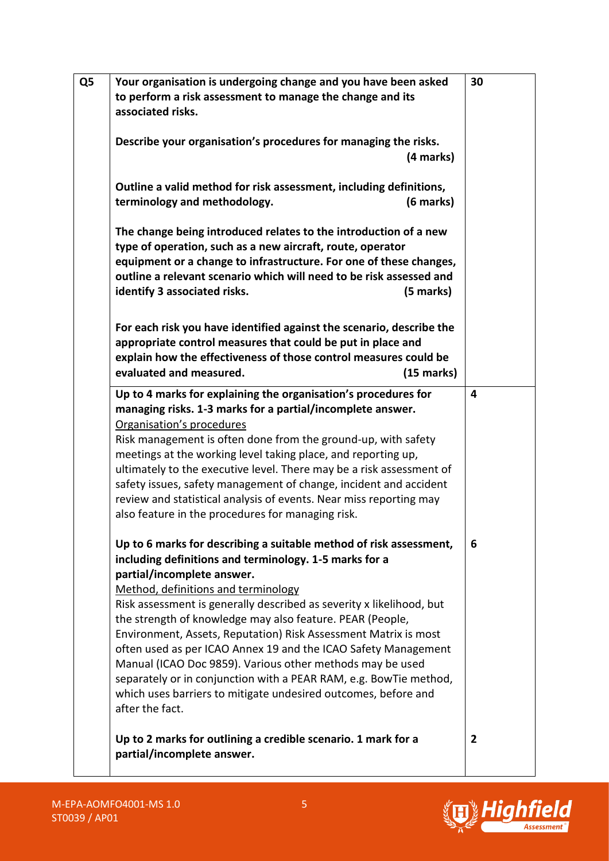| Your organisation is undergoing change and you have been asked<br>to perform a risk assessment to manage the change and its<br>associated risks.                                                                                                                                                                                                                                                                                                                                                                                                                                                                                                                                                   | 30 |
|----------------------------------------------------------------------------------------------------------------------------------------------------------------------------------------------------------------------------------------------------------------------------------------------------------------------------------------------------------------------------------------------------------------------------------------------------------------------------------------------------------------------------------------------------------------------------------------------------------------------------------------------------------------------------------------------------|----|
| Describe your organisation's procedures for managing the risks.<br>(4 marks)                                                                                                                                                                                                                                                                                                                                                                                                                                                                                                                                                                                                                       |    |
| Outline a valid method for risk assessment, including definitions,<br>terminology and methodology.<br>$(6$ marks $)$                                                                                                                                                                                                                                                                                                                                                                                                                                                                                                                                                                               |    |
| The change being introduced relates to the introduction of a new<br>type of operation, such as a new aircraft, route, operator<br>equipment or a change to infrastructure. For one of these changes,<br>outline a relevant scenario which will need to be risk assessed and<br>identify 3 associated risks.<br>(5 marks)                                                                                                                                                                                                                                                                                                                                                                           |    |
| For each risk you have identified against the scenario, describe the<br>appropriate control measures that could be put in place and<br>explain how the effectiveness of those control measures could be<br>evaluated and measured.<br>$(15 \text{ marks})$                                                                                                                                                                                                                                                                                                                                                                                                                                         |    |
| Up to 4 marks for explaining the organisation's procedures for<br>managing risks. 1-3 marks for a partial/incomplete answer.<br>Organisation's procedures<br>Risk management is often done from the ground-up, with safety<br>meetings at the working level taking place, and reporting up,<br>ultimately to the executive level. There may be a risk assessment of<br>safety issues, safety management of change, incident and accident<br>review and statistical analysis of events. Near miss reporting may<br>also feature in the procedures for managing risk.                                                                                                                                | 4  |
| Up to 6 marks for describing a suitable method of risk assessment,<br>including definitions and terminology. 1-5 marks for a<br>partial/incomplete answer.<br>Method, definitions and terminology<br>Risk assessment is generally described as severity x likelihood, but<br>the strength of knowledge may also feature. PEAR (People,<br>Environment, Assets, Reputation) Risk Assessment Matrix is most<br>often used as per ICAO Annex 19 and the ICAO Safety Management<br>Manual (ICAO Doc 9859). Various other methods may be used<br>separately or in conjunction with a PEAR RAM, e.g. BowTie method,<br>which uses barriers to mitigate undesired outcomes, before and<br>after the fact. | 6  |
| Up to 2 marks for outlining a credible scenario. 1 mark for a<br>partial/incomplete answer.                                                                                                                                                                                                                                                                                                                                                                                                                                                                                                                                                                                                        | 2  |

 $\mathsf{l}$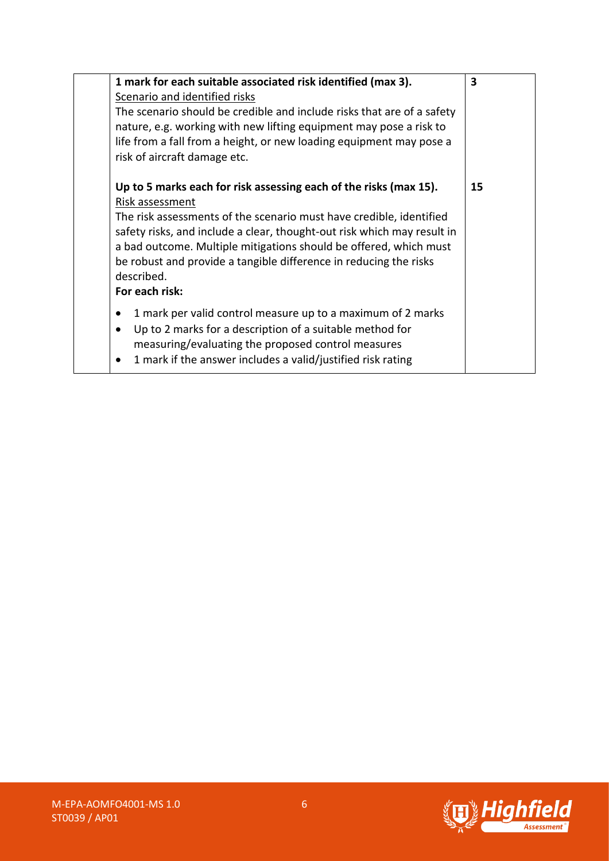| 1 mark for each suitable associated risk identified (max 3).                                                                                                                                                                                                                                                                                                                                                     | 3  |
|------------------------------------------------------------------------------------------------------------------------------------------------------------------------------------------------------------------------------------------------------------------------------------------------------------------------------------------------------------------------------------------------------------------|----|
| Scenario and identified risks                                                                                                                                                                                                                                                                                                                                                                                    |    |
| The scenario should be credible and include risks that are of a safety<br>nature, e.g. working with new lifting equipment may pose a risk to<br>life from a fall from a height, or new loading equipment may pose a<br>risk of aircraft damage etc.                                                                                                                                                              |    |
| Up to 5 marks each for risk assessing each of the risks (max 15).<br>Risk assessment<br>The risk assessments of the scenario must have credible, identified<br>safety risks, and include a clear, thought-out risk which may result in<br>a bad outcome. Multiple mitigations should be offered, which must<br>be robust and provide a tangible difference in reducing the risks<br>described.<br>For each risk: | 15 |
| 1 mark per valid control measure up to a maximum of 2 marks<br>Up to 2 marks for a description of a suitable method for<br>measuring/evaluating the proposed control measures<br>1 mark if the answer includes a valid/justified risk rating                                                                                                                                                                     |    |